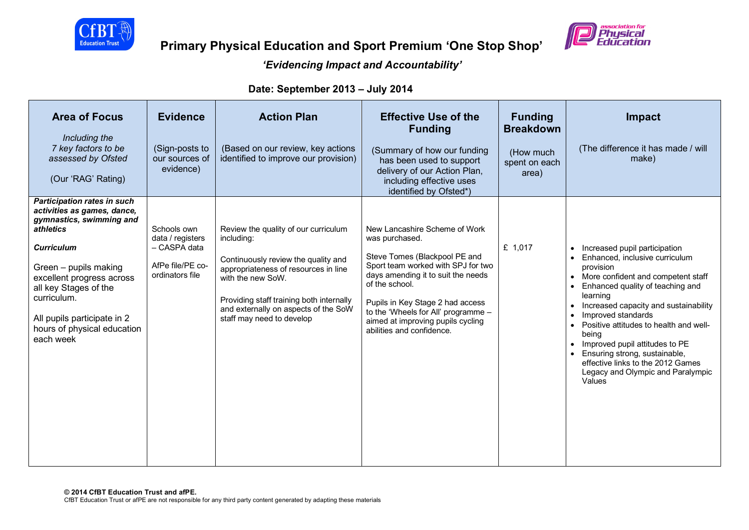

## *'Evidencing Impact and Accountability'*

**Date: September 2013 – July 2014**

| <b>Area of Focus</b><br>Including the<br>7 key factors to be<br>assessed by Ofsted<br>(Our 'RAG' Rating)                                                                                                                                                                                                 | <b>Evidence</b><br>(Sign-posts to<br>our sources of<br>evidence)                       | <b>Action Plan</b><br>(Based on our review, key actions<br>identified to improve our provision)                                                                                                                                                                         | <b>Effective Use of the</b><br><b>Funding</b><br>(Summary of how our funding<br>has been used to support<br>delivery of our Action Plan,<br>including effective uses<br>identified by Ofsted*)                                                                                                                              | <b>Funding</b><br><b>Breakdown</b><br>(How much<br>spent on each<br>area) | Impact<br>(The difference it has made / will<br>make)                                                                                                                                                                                                                                                                                                                                                                                                                     |
|----------------------------------------------------------------------------------------------------------------------------------------------------------------------------------------------------------------------------------------------------------------------------------------------------------|----------------------------------------------------------------------------------------|-------------------------------------------------------------------------------------------------------------------------------------------------------------------------------------------------------------------------------------------------------------------------|-----------------------------------------------------------------------------------------------------------------------------------------------------------------------------------------------------------------------------------------------------------------------------------------------------------------------------|---------------------------------------------------------------------------|---------------------------------------------------------------------------------------------------------------------------------------------------------------------------------------------------------------------------------------------------------------------------------------------------------------------------------------------------------------------------------------------------------------------------------------------------------------------------|
| <b>Participation rates in such</b><br>activities as games, dance,<br>gymnastics, swimming and<br>athletics<br><b>Curriculum</b><br>Green - pupils making<br>excellent progress across<br>all key Stages of the<br>curriculum.<br>All pupils participate in 2<br>hours of physical education<br>each week | Schools own<br>data / registers<br>- CASPA data<br>AfPe file/PE co-<br>ordinators file | Review the quality of our curriculum<br>including:<br>Continuously review the quality and<br>appropriateness of resources in line<br>with the new SoW.<br>Providing staff training both internally<br>and externally on aspects of the SoW<br>staff may need to develop | New Lancashire Scheme of Work<br>was purchased.<br>Steve Tomes (Blackpool PE and<br>Sport team worked with SPJ for two<br>days amending it to suit the needs<br>of the school.<br>Pupils in Key Stage 2 had access<br>to the 'Wheels for All' programme -<br>aimed at improving pupils cycling<br>abilities and confidence. | £ 1,017                                                                   | • Increased pupil participation<br>Enhanced, inclusive curriculum<br>provision<br>• More confident and competent staff<br>Enhanced quality of teaching and<br>learning<br>Increased capacity and sustainability<br>Improved standards<br>$\bullet$<br>Positive attitudes to health and well-<br>being<br>Improved pupil attitudes to PE<br>Ensuring strong, sustainable,<br>$\bullet$<br>effective links to the 2012 Games<br>Legacy and Olympic and Paralympic<br>Values |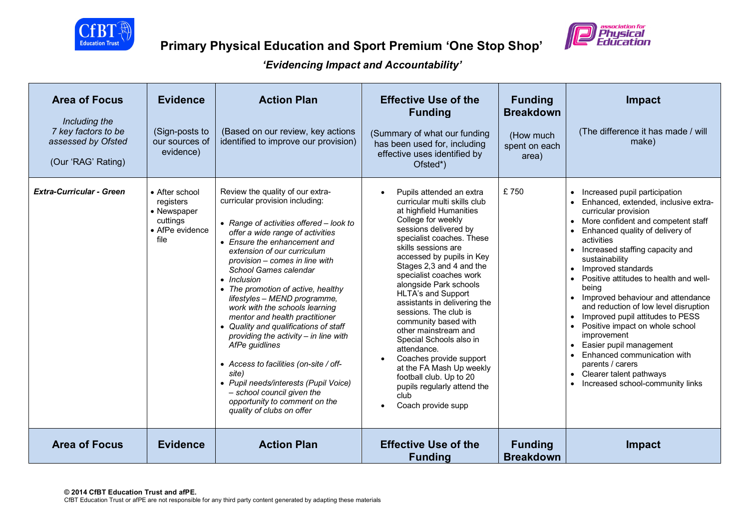



| <b>Area of Focus</b><br>Including the<br>7 key factors to be<br>assessed by Ofsted<br>(Our 'RAG' Rating) | <b>Evidence</b><br>(Sign-posts to<br>our sources of<br>evidence)                  | <b>Action Plan</b><br>(Based on our review, key actions<br>identified to improve our provision)                                                                                                                                                                                                                                                                                                                                                                                                                                                                                                                                                                                                                                             | <b>Effective Use of the</b><br><b>Funding</b><br>(Summary of what our funding<br>has been used for, including<br>effective uses identified by<br>Ofsted*)                                                                                                                                                                                                                                                                                                                                                                                                                                                                           | <b>Funding</b><br><b>Breakdown</b><br>(How much<br>spent on each<br>area) | <b>Impact</b><br>(The difference it has made / will<br>make)                                                                                                                                                                                                                                                                                                                                                                                                                                                                                                                                                                                                                                                      |
|----------------------------------------------------------------------------------------------------------|-----------------------------------------------------------------------------------|---------------------------------------------------------------------------------------------------------------------------------------------------------------------------------------------------------------------------------------------------------------------------------------------------------------------------------------------------------------------------------------------------------------------------------------------------------------------------------------------------------------------------------------------------------------------------------------------------------------------------------------------------------------------------------------------------------------------------------------------|-------------------------------------------------------------------------------------------------------------------------------------------------------------------------------------------------------------------------------------------------------------------------------------------------------------------------------------------------------------------------------------------------------------------------------------------------------------------------------------------------------------------------------------------------------------------------------------------------------------------------------------|---------------------------------------------------------------------------|-------------------------------------------------------------------------------------------------------------------------------------------------------------------------------------------------------------------------------------------------------------------------------------------------------------------------------------------------------------------------------------------------------------------------------------------------------------------------------------------------------------------------------------------------------------------------------------------------------------------------------------------------------------------------------------------------------------------|
| <b>Extra-Curricular - Green</b>                                                                          | • After school<br>registers<br>• Newspaper<br>cuttings<br>• AfPe evidence<br>file | Review the quality of our extra-<br>curricular provision including:<br>• Range of activities offered - look to<br>offer a wide range of activities<br>• Ensure the enhancement and<br>extension of our curriculum<br>provision - comes in line with<br>School Games calendar<br>$\bullet$ Inclusion<br>• The promotion of active, healthy<br>lifestyles - MEND programme,<br>work with the schools learning<br>mentor and health practitioner<br>• Quality and qualifications of staff<br>providing the activity $-$ in line with<br>AfPe guidlines<br>• Access to facilities (on-site / off-<br>site)<br>• Pupil needs/interests (Pupil Voice)<br>- school council given the<br>opportunity to comment on the<br>quality of clubs on offer | Pupils attended an extra<br>curricular multi skills club<br>at highfield Humanities<br>College for weekly<br>sessions delivered by<br>specialist coaches. These<br>skills sessions are<br>accessed by pupils in Key<br>Stages 2,3 and 4 and the<br>specialist coaches work<br>alongside Park schools<br><b>HLTA's and Support</b><br>assistants in delivering the<br>sessions. The club is<br>community based with<br>other mainstream and<br>Special Schools also in<br>attendance.<br>Coaches provide support<br>at the FA Mash Up weekly<br>football club. Up to 20<br>pupils regularly attend the<br>club<br>Coach provide supp | £750                                                                      | Increased pupil participation<br>Enhanced, extended, inclusive extra-<br>curricular provision<br>More confident and competent staff<br>$\bullet$<br>Enhanced quality of delivery of<br>activities<br>Increased staffing capacity and<br>sustainability<br>Improved standards<br>$\bullet$<br>Positive attitudes to health and well-<br>being<br>Improved behaviour and attendance<br>and reduction of low level disruption<br>Improved pupil attitudes to PESS<br>$\bullet$<br>Positive impact on whole school<br>$\bullet$<br>improvement<br>Easier pupil management<br>$\bullet$<br>Enhanced communication with<br>parents / carers<br>Clearer talent pathways<br>$\bullet$<br>Increased school-community links |
| <b>Area of Focus</b>                                                                                     | <b>Evidence</b>                                                                   | <b>Action Plan</b>                                                                                                                                                                                                                                                                                                                                                                                                                                                                                                                                                                                                                                                                                                                          | <b>Effective Use of the</b><br><b>Funding</b>                                                                                                                                                                                                                                                                                                                                                                                                                                                                                                                                                                                       | <b>Funding</b><br><b>Breakdown</b>                                        | <b>Impact</b>                                                                                                                                                                                                                                                                                                                                                                                                                                                                                                                                                                                                                                                                                                     |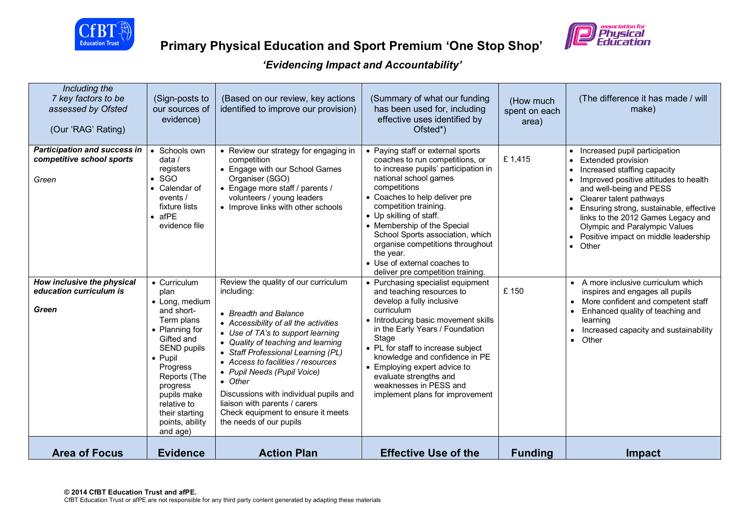



| Including the<br>7 key factors to be<br>assessed by Ofsted<br>(Our 'RAG' Rating)                        | (Sign-posts to<br>our sources of<br>evidence)                                                                                                                                                                                              | (Based on our review, key actions<br>identified to improve our provision)                                                                                                                                                                                                                                                                                                                                                 | (Summary of what our funding<br>has been used for, including<br>effective uses identified by<br>Ofsted*)                                                                                                                                                                                                                                                                                                                                                                 | (How much<br>spent on each<br>area) | (The difference it has made / will<br>make)                                                                                                                                                                                                                                                                                                                                                                                    |
|---------------------------------------------------------------------------------------------------------|--------------------------------------------------------------------------------------------------------------------------------------------------------------------------------------------------------------------------------------------|---------------------------------------------------------------------------------------------------------------------------------------------------------------------------------------------------------------------------------------------------------------------------------------------------------------------------------------------------------------------------------------------------------------------------|--------------------------------------------------------------------------------------------------------------------------------------------------------------------------------------------------------------------------------------------------------------------------------------------------------------------------------------------------------------------------------------------------------------------------------------------------------------------------|-------------------------------------|--------------------------------------------------------------------------------------------------------------------------------------------------------------------------------------------------------------------------------------------------------------------------------------------------------------------------------------------------------------------------------------------------------------------------------|
| <b>Participation and success in</b><br>competitive school sports<br>Green<br>How inclusive the physical | • Schools own<br>data /<br>registers<br>$\bullet$ SGO<br>• Calendar of<br>events /<br>fixture lists<br>$\bullet$ afPE<br>evidence file<br>• Curriculum                                                                                     | • Review our strategy for engaging in<br>competition<br>• Engage with our School Games<br>Organiser (SGO)<br>• Engage more staff / parents /<br>volunteers / young leaders<br>• Improve links with other schools<br>Review the quality of our curriculum                                                                                                                                                                  | • Paying staff or external sports<br>coaches to run competitions, or<br>to increase pupils' participation in<br>national school games<br>competitions<br>• Coaches to help deliver pre<br>competition training.<br>• Up skilling of staff.<br>• Membership of the Special<br>School Sports association, which<br>organise competitions throughout<br>the year.<br>• Use of external coaches to<br>deliver pre competition training.<br>• Purchasing specialist equipment | £1,415                              | Increased pupil participation<br><b>Extended provision</b><br>$\bullet$<br>Increased staffing capacity<br>Improved positive attitudes to health<br>and well-being and PESS<br>Clearer talent pathways<br>$\bullet$<br>Ensuring strong, sustainable, effective<br>links to the 2012 Games Legacy and<br>Olympic and Paralympic Values<br>Positive impact on middle leadership<br>• Other<br>• A more inclusive curriculum which |
| education curriculum is<br>Green                                                                        | plan<br>• Long, medium<br>and short-<br>Term plans<br>• Planning for<br>Gifted and<br><b>SEND pupils</b><br>• Pupil<br>Progress<br>Reports (The<br>progress<br>pupils make<br>relative to<br>their starting<br>points, ability<br>and age) | including:<br>• Breadth and Balance<br>• Accessibility of all the activities<br>• Use of TA's to support learning<br>• Quality of teaching and learning<br>• Staff Professional Learning (PL)<br>• Access to facilities / resources<br>• Pupil Needs (Pupil Voice)<br>• Other<br>Discussions with individual pupils and<br>liaison with parents / carers<br>Check equipment to ensure it meets<br>the needs of our pupils | and teaching resources to<br>develop a fully inclusive<br>curriculum<br>• Introducing basic movement skills<br>in the Early Years / Foundation<br>Stage<br>• PL for staff to increase subject<br>knowledge and confidence in PE<br>• Employing expert advice to<br>evaluate strengths and<br>weaknesses in PESS and<br>implement plans for improvement                                                                                                                   | £150                                | inspires and engages all pupils<br>More confident and competent staff<br>$\bullet$<br>Enhanced quality of teaching and<br>$\bullet$<br>learning<br>Increased capacity and sustainability<br>$\bullet$<br>Other<br>$\bullet$                                                                                                                                                                                                    |
| <b>Area of Focus</b>                                                                                    | <b>Evidence</b>                                                                                                                                                                                                                            | <b>Action Plan</b>                                                                                                                                                                                                                                                                                                                                                                                                        | <b>Effective Use of the</b>                                                                                                                                                                                                                                                                                                                                                                                                                                              | <b>Funding</b>                      | <b>Impact</b>                                                                                                                                                                                                                                                                                                                                                                                                                  |

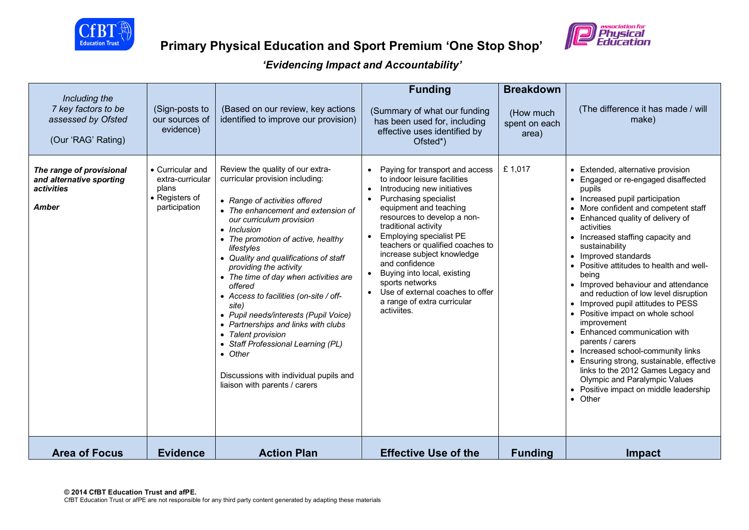



| Including the<br>7 key factors to be<br>assessed by Ofsted<br>(Our 'RAG' Rating)          | (Sign-posts to<br>our sources of<br>evidence)                                    | (Based on our review, key actions<br>identified to improve our provision)                                                                                                                                                                                                                                                                                                                                                                                                                                                                                                                                                                             | <b>Funding</b><br>(Summary of what our funding<br>has been used for, including<br>effective uses identified by<br>Ofsted*)                                                                                                                                                                                                                                                                                                                                               | <b>Breakdown</b><br>(How much<br>spent on each<br>area) | (The difference it has made / will<br>make)                                                                                                                                                                                                                                                                                                                                                                                                                                                                                                                                                                                                                                                                                                                                                    |
|-------------------------------------------------------------------------------------------|----------------------------------------------------------------------------------|-------------------------------------------------------------------------------------------------------------------------------------------------------------------------------------------------------------------------------------------------------------------------------------------------------------------------------------------------------------------------------------------------------------------------------------------------------------------------------------------------------------------------------------------------------------------------------------------------------------------------------------------------------|--------------------------------------------------------------------------------------------------------------------------------------------------------------------------------------------------------------------------------------------------------------------------------------------------------------------------------------------------------------------------------------------------------------------------------------------------------------------------|---------------------------------------------------------|------------------------------------------------------------------------------------------------------------------------------------------------------------------------------------------------------------------------------------------------------------------------------------------------------------------------------------------------------------------------------------------------------------------------------------------------------------------------------------------------------------------------------------------------------------------------------------------------------------------------------------------------------------------------------------------------------------------------------------------------------------------------------------------------|
| The range of provisional<br>and alternative sporting<br><i>activities</i><br><b>Amber</b> | • Curricular and<br>extra-curricular<br>plans<br>• Registers of<br>participation | Review the quality of our extra-<br>curricular provision including:<br>• Range of activities offered<br>• The enhancement and extension of<br>our curriculum provision<br>• Inclusion<br>• The promotion of active, healthy<br>lifestyles<br>• Quality and qualifications of staff<br>providing the activity<br>• The time of day when activities are<br>offered<br>• Access to facilities (on-site / off-<br>site)<br>• Pupil needs/interests (Pupil Voice)<br>• Partnerships and links with clubs<br>• Talent provision<br>• Staff Professional Learning (PL)<br>• Other<br>Discussions with individual pupils and<br>liaison with parents / carers | Paying for transport and access<br>to indoor leisure facilities<br>Introducing new initiatives<br>Purchasing specialist<br>equipment and teaching<br>resources to develop a non-<br>traditional activity<br>Employing specialist PE<br>$\bullet$<br>teachers or qualified coaches to<br>increase subject knowledge<br>and confidence<br>Buying into local, existing<br>sports networks<br>Use of external coaches to offer<br>a range of extra curricular<br>activiites. | £1,017                                                  | • Extended, alternative provision<br>• Engaged or re-engaged disaffected<br>pupils<br>• Increased pupil participation<br>• More confident and competent staff<br>Enhanced quality of delivery of<br>activities<br>• Increased staffing capacity and<br>sustainability<br>• Improved standards<br>• Positive attitudes to health and well-<br>being<br>• Improved behaviour and attendance<br>and reduction of low level disruption<br>• Improved pupil attitudes to PESS<br>• Positive impact on whole school<br>improvement<br>• Enhanced communication with<br>parents / carers<br>• Increased school-community links<br>Ensuring strong, sustainable, effective<br>links to the 2012 Games Legacy and<br>Olympic and Paralympic Values<br>• Positive impact on middle leadership<br>• Other |
| <b>Area of Focus</b>                                                                      | <b>Evidence</b>                                                                  | <b>Action Plan</b>                                                                                                                                                                                                                                                                                                                                                                                                                                                                                                                                                                                                                                    | <b>Effective Use of the</b>                                                                                                                                                                                                                                                                                                                                                                                                                                              | <b>Funding</b>                                          | <b>Impact</b>                                                                                                                                                                                                                                                                                                                                                                                                                                                                                                                                                                                                                                                                                                                                                                                  |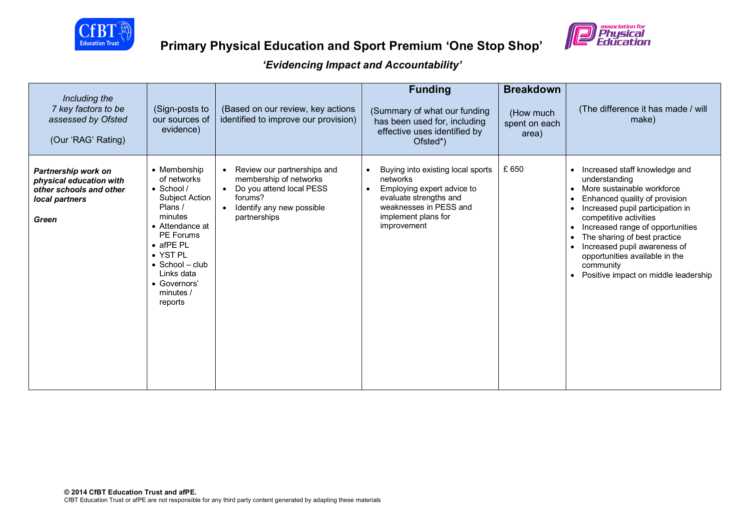



| Including the<br>7 key factors to be<br>assessed by Ofsted<br>(Our 'RAG' Rating)                     | (Sign-posts to<br>our sources of<br>evidence)                                                                                                                                                                                               | (Based on our review, key actions<br>identified to improve our provision)                                                                                                        | <b>Funding</b><br>(Summary of what our funding<br>has been used for, including<br>effective uses identified by<br>Ofsted*)                                                         | <b>Breakdown</b><br>(How much<br>spent on each<br>area) | (The difference it has made / will<br>make)                                                                                                                                                                                                                                                                                                                                                                                               |
|------------------------------------------------------------------------------------------------------|---------------------------------------------------------------------------------------------------------------------------------------------------------------------------------------------------------------------------------------------|----------------------------------------------------------------------------------------------------------------------------------------------------------------------------------|------------------------------------------------------------------------------------------------------------------------------------------------------------------------------------|---------------------------------------------------------|-------------------------------------------------------------------------------------------------------------------------------------------------------------------------------------------------------------------------------------------------------------------------------------------------------------------------------------------------------------------------------------------------------------------------------------------|
| Partnership work on<br>physical education with<br>other schools and other<br>local partners<br>Green | • Membership<br>of networks<br>$\bullet$ School /<br>Subject Action<br>Plans /<br>minutes<br>• Attendance at<br>PE Forums<br>$\bullet$ afPE PL<br>• YST PL<br>$\bullet$ School - club<br>Links data<br>• Governors'<br>minutes /<br>reports | Review our partnerships and<br>$\bullet$<br>membership of networks<br>Do you attend local PESS<br>$\bullet$<br>forums?<br>Identify any new possible<br>$\bullet$<br>partnerships | Buying into existing local sports<br>networks<br>Employing expert advice to<br>$\bullet$<br>evaluate strengths and<br>weaknesses in PESS and<br>implement plans for<br>improvement | £ 650                                                   | Increased staff knowledge and<br>understanding<br>More sustainable workforce<br>$\bullet$<br>Enhanced quality of provision<br>$\bullet$<br>Increased pupil participation in<br>$\bullet$<br>competitive activities<br>Increased range of opportunities<br>$\bullet$<br>The sharing of best practice<br>$\bullet$<br>Increased pupil awareness of<br>opportunities available in the<br>community<br>• Positive impact on middle leadership |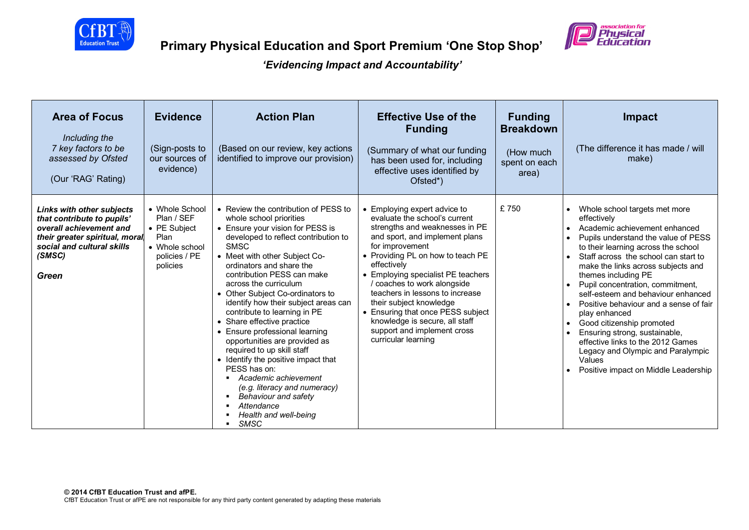



| <b>Area of Focus</b><br>Including the<br>7 key factors to be<br>assessed by Ofsted<br>(Our 'RAG' Rating)                                                                     | <b>Evidence</b><br>(Sign-posts to<br>our sources of<br>evidence)                                    | <b>Action Plan</b><br>(Based on our review, key actions<br>identified to improve our provision)                                                                                                                                                                                                                                                                                                                                                                                                                                                                                                                                                                                                                             | <b>Effective Use of the</b><br><b>Funding</b><br>(Summary of what our funding<br>has been used for, including<br>effective uses identified by<br>Ofsted*)                                                                                                                                                                                                                                                                                                                | <b>Funding</b><br><b>Breakdown</b><br>(How much<br>spent on each<br>area) | Impact<br>(The difference it has made / will<br>make)                                                                                                                                                                                                                                                                                                                                                                                                                                                                                                                                                                                                                                      |
|------------------------------------------------------------------------------------------------------------------------------------------------------------------------------|-----------------------------------------------------------------------------------------------------|-----------------------------------------------------------------------------------------------------------------------------------------------------------------------------------------------------------------------------------------------------------------------------------------------------------------------------------------------------------------------------------------------------------------------------------------------------------------------------------------------------------------------------------------------------------------------------------------------------------------------------------------------------------------------------------------------------------------------------|--------------------------------------------------------------------------------------------------------------------------------------------------------------------------------------------------------------------------------------------------------------------------------------------------------------------------------------------------------------------------------------------------------------------------------------------------------------------------|---------------------------------------------------------------------------|--------------------------------------------------------------------------------------------------------------------------------------------------------------------------------------------------------------------------------------------------------------------------------------------------------------------------------------------------------------------------------------------------------------------------------------------------------------------------------------------------------------------------------------------------------------------------------------------------------------------------------------------------------------------------------------------|
| <b>Links with other subjects</b><br>that contribute to pupils'<br>overall achievement and<br>their greater spiritual, moral<br>social and cultural skills<br>(SMSC)<br>Green | • Whole School<br>Plan / SEF<br>• PE Subject<br>Plan<br>• Whole school<br>policies / PE<br>policies | • Review the contribution of PESS to<br>whole school priorities<br>• Ensure your vision for PESS is<br>developed to reflect contribution to<br><b>SMSC</b><br>• Meet with other Subject Co-<br>ordinators and share the<br>contribution PESS can make<br>across the curriculum<br>• Other Subject Co-ordinators to<br>identify how their subject areas can<br>contribute to learning in PE<br>• Share effective practice<br>• Ensure professional learning<br>opportunities are provided as<br>required to up skill staff<br>• Identify the positive impact that<br>PESS has on:<br>Academic achievement<br>(e.g. literacy and numeracy)<br>Behaviour and safety<br>٠<br>Attendance<br>Health and well-being<br><b>SMSC</b> | • Employing expert advice to<br>evaluate the school's current<br>strengths and weaknesses in PE<br>and sport, and implement plans<br>for improvement<br>• Providing PL on how to teach PE<br>effectively<br>• Employing specialist PE teachers<br>/ coaches to work alongside<br>teachers in lessons to increase<br>their subject knowledge<br>• Ensuring that once PESS subject<br>knowledge is secure, all staff<br>support and implement cross<br>curricular learning | £750                                                                      | Whole school targets met more<br>$\bullet$<br>effectively<br>Academic achievement enhanced<br>$\bullet$<br>Pupils understand the value of PESS<br>$\bullet$<br>to their learning across the school<br>Staff across the school can start to<br>$\bullet$<br>make the links across subjects and<br>themes including PE<br>Pupil concentration, commitment,<br>$\bullet$<br>self-esteem and behaviour enhanced<br>Positive behaviour and a sense of fair<br>$\bullet$<br>play enhanced<br>Good citizenship promoted<br>$\bullet$<br>Ensuring strong, sustainable,<br>effective links to the 2012 Games<br>Legacy and Olympic and Paralympic<br>Values<br>Positive impact on Middle Leadership |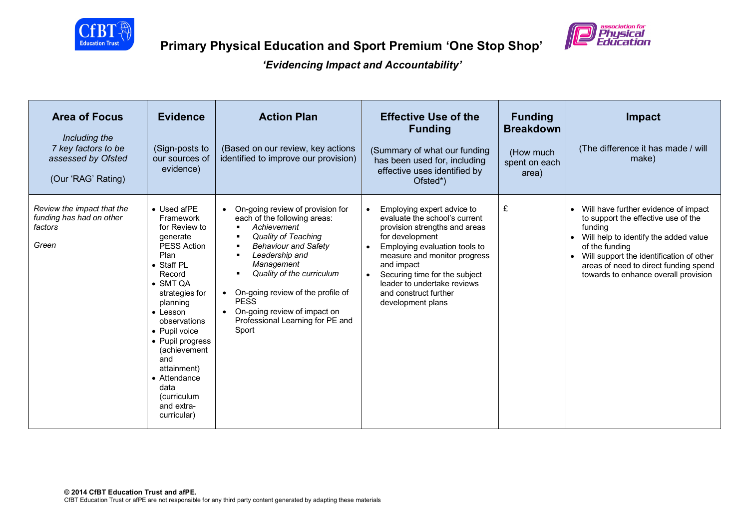



| <b>Area of Focus</b><br>Including the<br>7 key factors to be<br>assessed by Ofsted<br>(Our 'RAG' Rating) | <b>Evidence</b><br>(Sign-posts to<br>our sources of<br>evidence)                                                                                                                                                                                                                                                                                  | <b>Action Plan</b><br>(Based on our review, key actions<br>identified to improve our provision)                                                                                                                                                                                                                                                                              | <b>Effective Use of the</b><br><b>Funding</b><br>(Summary of what our funding<br>has been used for, including<br>effective uses identified by<br>Ofsted*)                                                                                                                                                                              | <b>Funding</b><br><b>Breakdown</b><br>(How much<br>spent on each<br>area) | <b>Impact</b><br>(The difference it has made / will<br>make)                                                                                                                                                                                                                                |
|----------------------------------------------------------------------------------------------------------|---------------------------------------------------------------------------------------------------------------------------------------------------------------------------------------------------------------------------------------------------------------------------------------------------------------------------------------------------|------------------------------------------------------------------------------------------------------------------------------------------------------------------------------------------------------------------------------------------------------------------------------------------------------------------------------------------------------------------------------|----------------------------------------------------------------------------------------------------------------------------------------------------------------------------------------------------------------------------------------------------------------------------------------------------------------------------------------|---------------------------------------------------------------------------|---------------------------------------------------------------------------------------------------------------------------------------------------------------------------------------------------------------------------------------------------------------------------------------------|
| Review the impact that the<br>funding has had on other<br>factors<br>Green                               | • Used afPE<br>Framework<br>for Review to<br>generate<br><b>PESS Action</b><br>Plan<br>• Staff PL<br>Record<br>• SMT QA<br>strategies for<br>planning<br>$\bullet$ Lesson<br>observations<br>• Pupil voice<br>• Pupil progress<br>(achievement<br>and<br>attainment)<br>• Attendance<br>data<br><i>(curriculum</i> )<br>and extra-<br>curricular) | • On-going review of provision for<br>each of the following areas:<br>Achievement<br>$\blacksquare$<br><b>Quality of Teaching</b><br>٠<br><b>Behaviour and Safety</b><br>п<br>Leadership and<br>Management<br>Quality of the curriculum<br>• On-going review of the profile of<br><b>PESS</b><br>• On-going review of impact on<br>Professional Learning for PE and<br>Sport | Employing expert advice to<br>$\bullet$<br>evaluate the school's current<br>provision strengths and areas<br>for development<br>Employing evaluation tools to<br>$\bullet$<br>measure and monitor progress<br>and impact<br>Securing time for the subject<br>leader to undertake reviews<br>and construct further<br>development plans | £                                                                         | Will have further evidence of impact<br>to support the effective use of the<br>funding<br>Will help to identify the added value<br>$\bullet$<br>of the funding<br>Will support the identification of other<br>areas of need to direct funding spend<br>towards to enhance overall provision |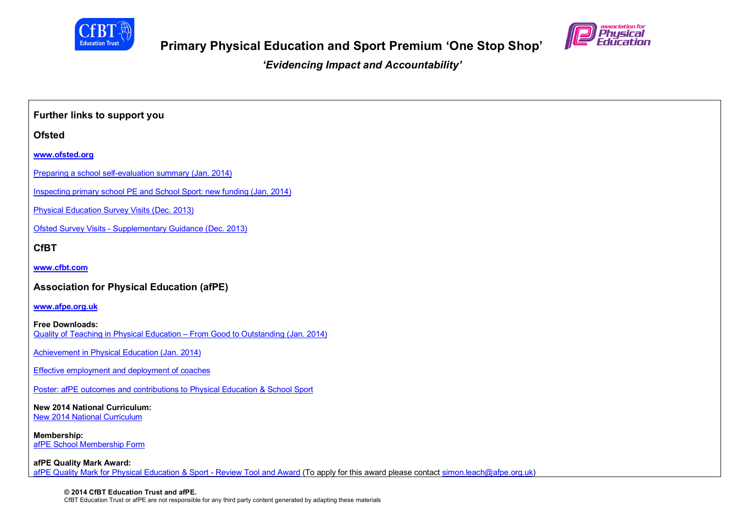

*'Evidencing Impact and Accountability'*

**Further links to support you Ofsted www.ofsted.org** Preparing a school self-evaluation summary (Jan. 2014) Inspecting primary school PE and School Sport: new funding (Jan. 2014) Physical Education Survey Visits (Dec. 2013) Ofsted Survey Visits - Supplementary Guidance (Dec. 2013) **CfBT www.cfbt.com Association for Physical Education (afPE) www.afpe.org.uk Free Downloads:** Quality of Teaching in Physical Education – From Good to Outstanding (Jan. 2014) Achievement in Physical Education (Jan. 2014) Effective employment and deployment of coaches Poster: afPE outcomes and contributions to Physical Education & School Sport **New 2014 National Curriculum:** New 2014 National Curriculum **Membership:** afPE School Membership Form **afPE Quality Mark Award:** afPE Quality Mark for Physical Education & Sport - Review Tool and Award (To apply for this award please contact simon.leach@afpe.org.uk)

**© 2014 CfBT Education Trust and afPE.** CfBT Education Trust or afPE are not responsible for any third party content generated by adapting these materials